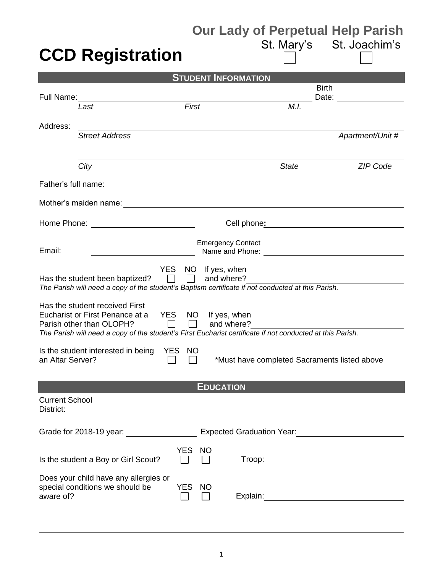## **CCD Registration**

## **Our Lady of Perpetual Help Parish<br>St. Mary's St. Joachim's**

| <b>STUDENT INFORMATION</b>         |                                                                                                                                     |                  |                  |                                                                    |                                                     |              |                                                        |  |  |
|------------------------------------|-------------------------------------------------------------------------------------------------------------------------------------|------------------|------------------|--------------------------------------------------------------------|-----------------------------------------------------|--------------|--------------------------------------------------------|--|--|
|                                    |                                                                                                                                     |                  |                  |                                                                    |                                                     | <b>Birth</b> |                                                        |  |  |
| Full Name:                         | Last                                                                                                                                | First            |                  |                                                                    | M.I.                                                | Date:        |                                                        |  |  |
|                                    |                                                                                                                                     |                  |                  |                                                                    |                                                     |              |                                                        |  |  |
| Address:                           |                                                                                                                                     |                  |                  |                                                                    |                                                     |              |                                                        |  |  |
|                                    | <b>Street Address</b>                                                                                                               |                  |                  |                                                                    |                                                     |              | Apartment/Unit #                                       |  |  |
|                                    |                                                                                                                                     |                  |                  |                                                                    |                                                     |              |                                                        |  |  |
|                                    | City                                                                                                                                |                  |                  |                                                                    | <b>State</b>                                        |              | <b>ZIP Code</b>                                        |  |  |
| Father's full name:                |                                                                                                                                     |                  |                  |                                                                    |                                                     |              |                                                        |  |  |
|                                    | Mother's maiden name:                                                                                                               |                  |                  | <u> 1989 - Johann Barbara, martxa amerikan personal (h. 1989).</u> |                                                     |              |                                                        |  |  |
| Home Phone:                        |                                                                                                                                     |                  |                  | Cell phone:                                                        |                                                     |              |                                                        |  |  |
|                                    |                                                                                                                                     |                  |                  | <b>Emergency Contact</b>                                           |                                                     |              |                                                        |  |  |
| Email:                             |                                                                                                                                     |                  |                  | Name and Phone:                                                    | <u> 1989 - Andrea Station Barbara, amerikan per</u> |              |                                                        |  |  |
|                                    | <b>YES</b>                                                                                                                          |                  | NO If yes, when  |                                                                    |                                                     |              |                                                        |  |  |
|                                    | Has the student been baptized?<br>The Parish will need a copy of the student's Baptism certificate if not conducted at this Parish. |                  |                  | and where?                                                         |                                                     |              |                                                        |  |  |
|                                    |                                                                                                                                     |                  |                  |                                                                    |                                                     |              |                                                        |  |  |
|                                    | Has the student received First<br>Eucharist or First Penance at a                                                                   | YES NO           |                  | If yes, when                                                       |                                                     |              |                                                        |  |  |
|                                    | Parish other than OLOPH?                                                                                                            | $\perp$          |                  | and where?                                                         |                                                     |              |                                                        |  |  |
|                                    | The Parish will need a copy of the student's First Eucharist certificate if not conducted at this Parish.                           |                  |                  |                                                                    |                                                     |              |                                                        |  |  |
|                                    | Is the student interested in being                                                                                                  | YES<br><b>NO</b> |                  |                                                                    |                                                     |              |                                                        |  |  |
| an Altar Server?                   |                                                                                                                                     |                  |                  | *Must have completed Sacraments listed above                       |                                                     |              |                                                        |  |  |
|                                    |                                                                                                                                     |                  |                  |                                                                    |                                                     |              |                                                        |  |  |
|                                    |                                                                                                                                     |                  | <b>EDUCATION</b> |                                                                    |                                                     |              |                                                        |  |  |
| <b>Current School</b><br>District: |                                                                                                                                     |                  |                  |                                                                    |                                                     |              |                                                        |  |  |
|                                    |                                                                                                                                     |                  |                  |                                                                    |                                                     |              |                                                        |  |  |
|                                    | Grade for 2018-19 year: __________________                                                                                          |                  |                  |                                                                    |                                                     |              | Expected Graduation Year:<br><u>Land Communication</u> |  |  |
|                                    |                                                                                                                                     | <b>YES</b>       | <b>NO</b>        |                                                                    |                                                     |              |                                                        |  |  |
|                                    | Is the student a Boy or Girl Scout?                                                                                                 |                  |                  |                                                                    |                                                     |              |                                                        |  |  |
|                                    | Does your child have any allergies or                                                                                               |                  |                  |                                                                    |                                                     |              |                                                        |  |  |
| aware of?                          | special conditions we should be                                                                                                     | YES NO           |                  |                                                                    |                                                     |              |                                                        |  |  |
|                                    |                                                                                                                                     |                  |                  |                                                                    |                                                     |              |                                                        |  |  |